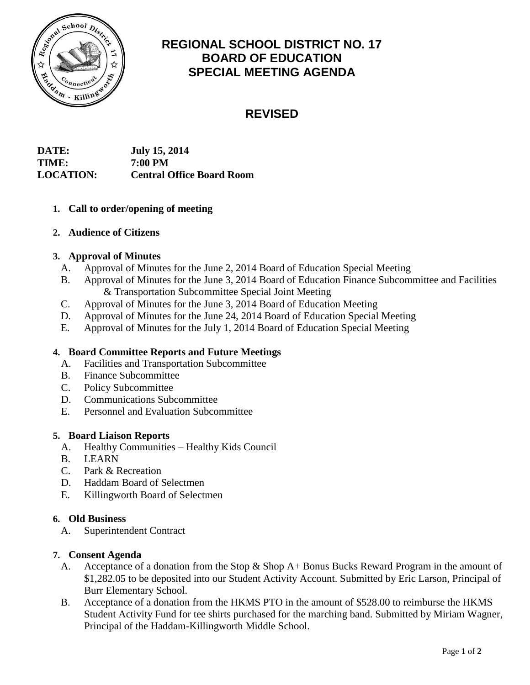

## **REGIONAL SCHOOL DISTRICT NO. 17 BOARD OF EDUCATION SPECIAL MEETING AGENDA**

# **REVISED**

| <b>DATE:</b>     | <b>July 15, 2014</b>             |
|------------------|----------------------------------|
| <b>TIME:</b>     | 7:00 PM                          |
| <b>LOCATION:</b> | <b>Central Office Board Room</b> |

## **1. Call to order/opening of meeting**

## **2. Audience of Citizens**

## **3. Approval of Minutes**

- A. Approval of Minutes for the June 2, 2014 Board of Education Special Meeting
- B. Approval of Minutes for the June 3, 2014 Board of Education Finance Subcommittee and Facilities & Transportation Subcommittee Special Joint Meeting
- C. Approval of Minutes for the June 3, 2014 Board of Education Meeting
- D. Approval of Minutes for the June 24, 2014 Board of Education Special Meeting
- E. Approval of Minutes for the July 1, 2014 Board of Education Special Meeting

## **4. Board Committee Reports and Future Meetings**

- A. Facilities and Transportation Subcommittee
- B. Finance Subcommittee
- C. Policy Subcommittee
- D. Communications Subcommittee
- E. Personnel and Evaluation Subcommittee

#### **5. Board Liaison Reports**

- A. Healthy Communities Healthy Kids Council
- B. LEARN
- C. Park & Recreation
- D. Haddam Board of Selectmen
- E. Killingworth Board of Selectmen

#### **6. Old Business**

A. Superintendent Contract

#### **7. Consent Agenda**

- A. Acceptance of a donation from the Stop & Shop A+ Bonus Bucks Reward Program in the amount of \$1,282.05 to be deposited into our Student Activity Account. Submitted by Eric Larson, Principal of Burr Elementary School.
- B. Acceptance of a donation from the HKMS PTO in the amount of \$528.00 to reimburse the HKMS Student Activity Fund for tee shirts purchased for the marching band. Submitted by Miriam Wagner, Principal of the Haddam-Killingworth Middle School.